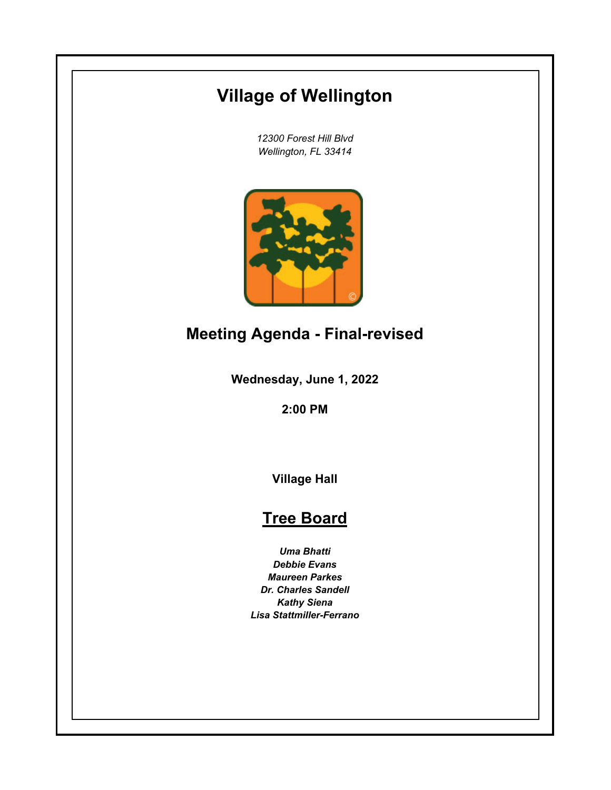# **Village of Wellington**

*12300 Forest Hill Blvd Wellington, FL 33414*



## **Meeting Agenda - Final-revised**

**Wednesday, June 1, 2022**

**2:00 PM**

**Village Hall**

## **Tree Board**

*Uma Bhatti Debbie Evans Maureen Parkes Dr. Charles Sandell Kathy Siena Lisa Stattmiller-Ferrano*